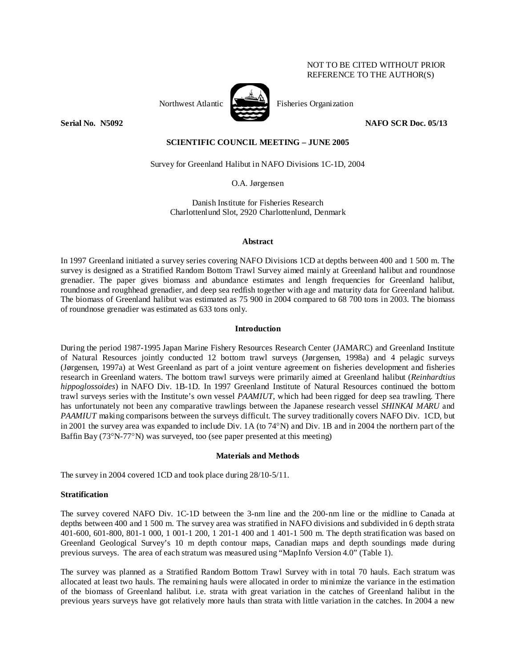# NOT TO BE CITED WITHOUT PRIOR REFERENCE TO THE AUTHOR(S)



Northwest Atlantic **No. 1989** Fisheries Organization

**Serial No. 385092** NAFO SCR Doc. 05/13

## **SCIENTIFIC COUNCIL MEETING – JUNE 2005**

Survey for Greenland Halibut in NAFO Divisions 1C-1D, 2004

O.A. Jørgensen

Danish Institute for Fisheries Research Charlottenlund Slot, 2920 Charlottenlund, Denmark

## **Abstract**

In 1997 Greenland initiated a survey series covering NAFO Divisions 1CD at depths between 400 and 1 500 m. The survey is designed as a Stratified Random Bottom Trawl Survey aimed mainly at Greenland halibut and roundnose grenadier. The paper gives biomass and abundance estimates and length frequencies for Greenland halibut, roundnose and roughhead grenadier, and deep sea redfish together with age and maturity data for Greenland halibut. The biomass of Greenland halibut was estimated as 75 900 in 2004 compared to 68 700 tons in 2003. The biomass of roundnose grenadier was estimated as 633 tons only.

## **Introduction**

During the period 1987-1995 Japan Marine Fishery Resources Research Center (JAMARC) and Greenland Institute of Natural Resources jointly conducted 12 bottom trawl surveys (Jørgensen, 1998a) and 4 pelagic surveys (Jørgensen, 1997a) at West Greenland as part of a joint venture agreement on fisheries development and fisheries research in Greenland waters. The bottom trawl surveys were primarily aimed at Greenland halibut (*Reinhardtius hippoglossoides*) in NAFO Div. 1B-1D. In 1997 Greenland Institute of Natural Resources continued the bottom trawl surveys series with the Institute's own vessel *PAAMIUT*, which had been rigged for deep sea trawling. There has unfortunately not been any comparative trawlings between the Japanese research vessel *SHINKAI MARU* and *PAAMIUT* making comparisons between the surveys difficult. The survey traditionally covers NAFO Div. 1CD, but in 2001 the survey area was expanded to include Div. 1A (to 74°N) and Div. 1B and in 2004 the northern part of the Baffin Bay (73°N-77°N) was surveyed, too (see paper presented at this meeting)

## **Materials and Methods**

The survey in 2004 covered 1CD and took place during 28/10-5/11.

## **Stratification**

The survey covered NAFO Div. 1C-1D between the 3-nm line and the 200-nm line or the midline to Canada at depths between 400 and 1 500 m. The survey area was stratified in NAFO divisions and subdivided in 6 depth strata 401-600, 601-800, 801-1 000, 1 001-1 200, 1 201-1 400 and 1 401-1 500 m. The depth stratification was based on Greenland Geological Survey's 10 m depth contour maps, Canadian maps and depth soundings made during previous surveys. The area of each stratum was measured using "MapInfo Version 4.0" (Table 1).

The survey was planned as a Stratified Random Bottom Trawl Survey with in total 70 hauls. Each stratum was allocated at least two hauls. The remaining hauls were allocated in order to minimize the variance in the estimation of the biomass of Greenland halibut*.* i.e. strata with great variation in the catches of Greenland halibut in the previous years surveys have got relatively more hauls than strata with little variation in the catches. In 2004 a new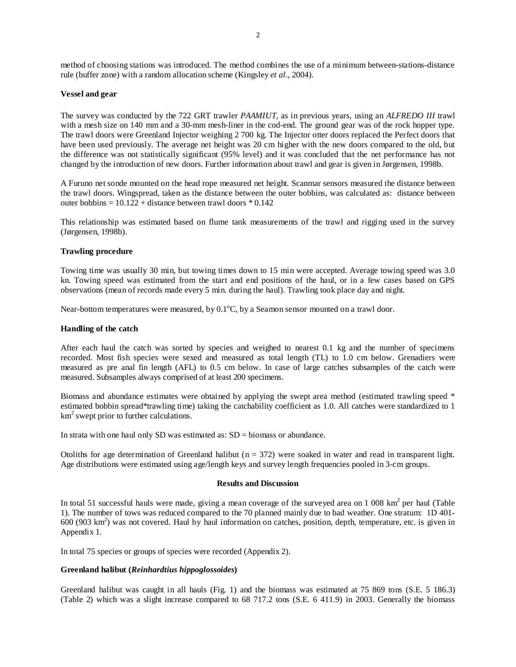method of choosing stations was introduced. The method combines the use of a minimum between-stations-distance rule (buffer zone) with a random allocation scheme (Kingsley *et al*., 2004).

### **Vessel and gear**

The survey was conducted by the 722 GRT trawler *PAAMIUT*, as in previous years, using an *ALFREDO III* trawl with a mesh size on 140 mm and a 30-mm mesh-liner in the cod-end. The ground gear was of the rock hopper type. The trawl doors were Greenland Injector weighing 2 700 kg. The Injector otter doors replaced the Perfect doors that have been used previously. The average net height was 20 cm higher with the new doors compared to the old, but the difference was not statistically significant (95% level) and it was concluded that the net performance has not changed by the introduction of new doors. Further information about trawl and gear is given in Jørgensen, 1998b.

A Furuno net sonde mounted on the head rope measured net height. Scanmar sensors measured the distance between the trawl doors. Wingspread, taken as the distance between the outer bobbins, was calculated as: distance between outer bobbins =  $10.122 +$  distance between trawl doors  $* 0.142$ 

This relationship was estimated based on flume tank measurements of the trawl and rigging used in the survey (Jørgensen, 1998b).

### **Trawling procedure**

Towing time was usually 30 min, but towing times down to 15 min were accepted. Average towing speed was 3.0 kn. Towing speed was estimated from the start and end positions of the haul, or in a few cases based on GPS observations (mean of records made every 5 min. during the haul). Trawling took place day and night.

Near-bottom temperatures were measured, by  $0.1^{\circ}$ C, by a Seamon sensor mounted on a trawl door.

#### **Handling of the catch**

After each haul the catch was sorted by species and weighed to nearest 0.1 kg and the number of specimens recorded. Most fish species were sexed and measured as total length (TL) to 1.0 cm below. Grenadiers were measured as pre anal fin length (AFL) to 0.5 cm below. In case of large catches subsamples of the catch were measured. Subsamples always comprised of at least 200 specimens.

Biomass and abundance estimates were obtained by applying the swept area method (estimated trawling speed \* estimated bobbin spread\*trawling time) taking the catchability coefficient as 1.0. All catches were standardized to 1 km<sup>2</sup> swept prior to further calculations.

In strata with one haul only SD was estimated as:  $SD = \text{biomass}$  or abundance.

Otoliths for age determination of Greenland halibut ( $n = 372$ ) were soaked in water and read in transparent light. Age distributions were estimated using age/length keys and survey length frequencies pooled in 3-cm groups.

### **Results and Discussion**

In total 51 successful hauls were made, giving a mean coverage of the surveyed area on  $1\,008\ \text{km}^2$  per haul (Table 1). The number of tows was reduced compared to the 70 planned mainly due to bad weather. One stratum: 1D 401- 600 (903 km2 ) was not covered. Haul by haul information on catches, position, depth, temperature, etc. is given in Appendix 1.

In total 75 species or groups of species were recorded (Appendix 2).

## **Greenland halibut (***Reinhardtius hippoglossoides***)**

Greenland halibut was caught in all hauls (Fig. 1) and the biomass was estimated at 75 869 tons (S.E. 5 186.3) (Table 2) which was a slight increase compared to 68 717.2 tons (S.E. 6 411.9) in 2003. Generally the biomass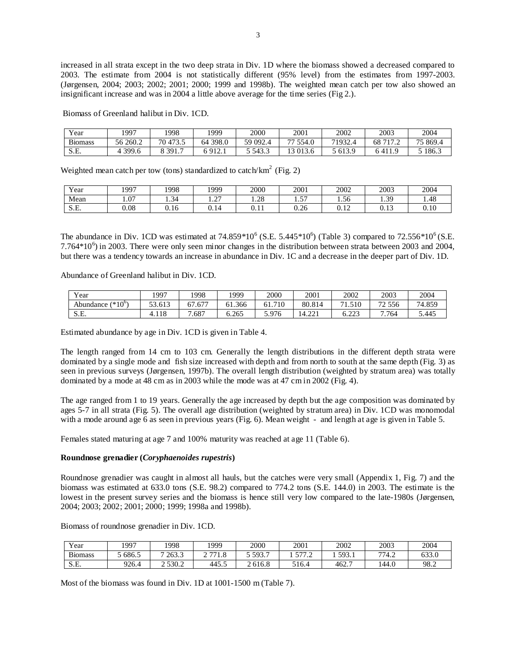increased in all strata except in the two deep strata in Div. 1D where the biomass showed a decreased compared to 2003. The estimate from 2004 is not statistically different (95% level) from the estimates from 1997-2003. (Jørgensen, 2004; 2003; 2002; 2001; 2000; 1999 and 1998b). The weighted mean catch per tow also showed an insignificant increase and was in 2004 a little above average for the time series (Fig 2.).

Biomass of Greenland halibut in Div. 1CD.

| Year           | 1997     | .998                     | 1999        | 2000     | 2001     | 2002    | 2003       | 2004     |
|----------------|----------|--------------------------|-------------|----------|----------|---------|------------|----------|
| <b>Biomass</b> | 56 260.2 | . 473<br>$70 -$<br>۔ د ا | 398.0<br>64 | 59 092.4 | 77 554.0 | 71932.5 | 7170<br>68 | 75 869.4 |
| S.E.           | 399.6    | 3391.                    | 012<br>.    | 5 543.3  | 13 013.6 | 5 613.9 | $\Omega$   | 5 186.3  |

Weighted mean catch per tow (tons) standardized to catch/ $km^2$  (Fig. 2)

| Year | 997  | 1998   | 1999                             | 2000           | 2001                   | 2002               | 2003                    | 2004 |
|------|------|--------|----------------------------------|----------------|------------------------|--------------------|-------------------------|------|
| Mean | 1.07 | 1.34   | $\sim$<br>$\cdot$ $\sim$ $\cdot$ | 1.28           | $\overline{a}$<br>1.JI | $\epsilon$<br>1.56 | 30<br>ر ب ۱             | 1.48 |
| S.E. | 0.08 | U. I O | $\sim$<br>V. 14                  | <u>v. i i </u> | 0.26                   | 0.10<br>0.14       | $\sim$<br><u>v. i J</u> | 0.10 |

The abundance in Div. 1CD was estimated at  $74.859*10^6$  (S.E. 5.445 $*10^6$ ) (Table 3) compared to  $72.556*10^6$  (S.E. 7.764 $*10<sup>6</sup>$ ) in 2003. There were only seen minor changes in the distribution between strata between 2003 and 2004, but there was a tendency towards an increase in abundance in Div. 1C and a decrease in the deeper part of Div. 1D.

Abundance of Greenland halibut in Div. 1CD.

| $\mathbf{v}$<br>Year        | 1997    | 1998       | 1999   | 2000        | 2001             | 2002                      | 2003                             | 2004   |
|-----------------------------|---------|------------|--------|-------------|------------------|---------------------------|----------------------------------|--------|
| $(10^{\circ})$<br>Abundance | 53.613  | .677<br>67 | 61.366 | 710<br>01.7 | 80.814           | - 1<br>.510<br>1.J        | 72 556                           | 74.859 |
| S.E.                        | 1. I 10 | .687       | 6.265  | 5.976       | $\sim$<br>'4.221 | $\cap$<br>0. <i>22</i> .3 | .764<br>$\overline{\phantom{0}}$ | 5.445  |

Estimated abundance by age in Div. 1CD is given in Table 4.

The length ranged from 14 cm to 103 cm. Generally the length distributions in the different depth strata were dominated by a single mode and fish size increased with depth and from north to south at the same depth (Fig. 3) as seen in previous surveys (Jørgensen, 1997b). The overall length distribution (weighted by stratum area) was totally dominated by a mode at 48 cm as in 2003 while the mode was at 47 cm in 2002 (Fig. 4).

The age ranged from 1 to 19 years. Generally the age increased by depth but the age composition was dominated by ages 5-7 in all strata (Fig. 5). The overall age distribution (weighted by stratum area) in Div. 1CD was monomodal with a mode around age 6 as seen in previous years (Fig. 6). Mean weight - and length at age is given in Table 5.

Females stated maturing at age 7 and 100% maturity was reached at age 11 (Table 6).

### **Roundnose grenadier (***Coryphaenoides rupestris***)**

Roundnose grenadier was caught in almost all hauls, but the catches were very small (Appendix 1, Fig. 7) and the biomass was estimated at 633.0 tons (S.E. 98.2) compared to 774.2 tons (S.E. 144.0) in 2003. The estimate is the lowest in the present survey series and the biomass is hence still very low compared to the late-1980s (Jørgensen, 2004; 2003; 2002; 2001; 2000; 1999; 1998a and 1998b).

Biomass of roundnose grenadier in Div. 1CD.

| Year                      | 1997  | 1998        | 1999     | 2000    | 2001              | 2002                 | 2003  | 2004  |
|---------------------------|-------|-------------|----------|---------|-------------------|----------------------|-------|-------|
| <b>Biomass</b>            | 686.5 | 7 263.3     | 771<br>∼ | 5 593.7 | $H \rightarrow H$ | 503<br><i>.,,</i> ,, | 774.2 | 633.0 |
| $\alpha$ $\Gamma$<br>S.E. | 926.4 | 2 5 3 0 . 2 | 445.     | 2 616.8 | 516.4             | 462.7                | 144.0 | 98.2  |

Most of the biomass was found in Div. 1D at 1001-1500 m (Table 7).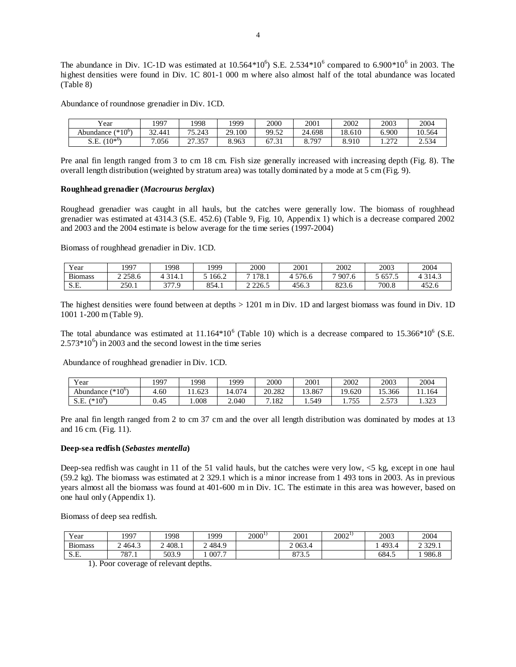The abundance in Div. 1C-1D was estimated at 10.564 $*10^6$ ) S.E. 2.534 $*10^6$  compared to 6.900 $*10^6$  in 2003. The highest densities were found in Div. 1C 801-1 000 m where also almost half of the total abundance was located (Table 8)

Abundance of roundnose grenadier in Div. 1CD.

| <b>TT</b><br>7 ear     | 1997             | 1998                       | 1999   | 2000                                           | 2001         | 2002   | 2003            | 2004   |
|------------------------|------------------|----------------------------|--------|------------------------------------------------|--------------|--------|-----------------|--------|
| $(*10^6)$<br>Abundance | $\sim$<br>32.441 | 15.243<br>אר               | 29.100 | 99.52<br>⊿כ.כי                                 | 24.698       | 18.610 | 6.900           | 10.564 |
| $(10^{*o}$<br>S.E.     | .056             | $\sim$<br>357<br>ر د ، ، ، | 8.963  | $\overline{\phantom{a}}$<br>$\bigcap$<br>07.51 | .797<br>0. 1 | 8.910  | $\sim$<br>1.414 | 2.534  |

Pre anal fin length ranged from 3 to cm 18 cm. Fish size generally increased with increasing depth (Fig. 8). The overall length distribution (weighted by stratum area) was totally dominated by a mode at 5 cm (Fig. 9).

#### **Roughhead grenadier (***Macrourus berglax***)**

Roughead grenadier was caught in all hauls, but the catches were generally low. The biomass of roughhead grenadier was estimated at 4314.3 (S.E. 452.6) (Table 9, Fig. 10, Appendix 1) which is a decrease compared 2002 and 2003 and the 2004 estimate is below average for the time series (1997-2004)

Biomass of roughhead grenadier in Div. 1CD.

| Year                  | 997         | 1998  | 1999  | 2000  | 2001  | 2002         | 2003   | 2004  |
|-----------------------|-------------|-------|-------|-------|-------|--------------|--------|-------|
| n.<br>Biomass         | 2 2 5 8 . 6 | 314.1 | 166.2 | 178.1 | 576.6 | .907.6       | $-657$ | 314.3 |
| <b>CE</b><br>.تــا. ت | 250.1       | 377 Q | 854.1 | 226.5 | 456.3 | 022<br>02J.U | 700.8  | 452.6 |

The highest densities were found between at depths > 1201 m in Div. 1D and largest biomass was found in Div. 1D 1001 1-200 m (Table 9).

The total abundance was estimated at  $11.164*10^6$  (Table 10) which is a decrease compared to  $15.366*10^6$  (S.E.  $2.573*10<sup>6</sup>$ ) in 2003 and the second lowest in the time series

Abundance of roughhead grenadier in Div. 1CD.

| Year                           | 1997 | 1998 | 1999  | 2000   | 2001   | 2002                   | 2003              | 2004           |
|--------------------------------|------|------|-------|--------|--------|------------------------|-------------------|----------------|
| (* $10^{\circ}$ )<br>Abundance | 4.60 | .623 | 4.074 | 20.282 | 13.867 | 0.620<br>1 Q           | 15.366            | 1.164          |
| S.E.<br>(* $10^{\circ}$        | 0.45 | .008 | 2.040 | .182   | 1.549  | 755<br>1. <i>I J J</i> | $F^{\pi}$<br>ل ال | 222<br>رے د. 1 |

Pre anal fin length ranged from 2 to cm 37 cm and the over all length distribution was dominated by modes at 13 and 16 cm. (Fig. 11).

#### **Deep-sea redfish (***Sebastes mentella***)**

Deep-sea redfish was caught in 11 of the 51 valid hauls, but the catches were very low, <5 kg, except in one haul (59.2 kg). The biomass was estimated at 2 329.1 which is a minor increase from 1 493 tons in 2003. As in previous years almost all the biomass was found at 401-600 m in Div. 1C. The estimate in this area was however, based on one haul only (Appendix 1).

Biomass of deep sea redfish.

| Year           | 1997         | 1998  | 1999                                | $2000^{1}$ | 2001             | $2002^{\frac{1}{2}}$ | 2003  | 2004       |
|----------------|--------------|-------|-------------------------------------|------------|------------------|----------------------|-------|------------|
| <b>Biomass</b> | 464.3<br>∼   | 408.1 | . 484.9<br>$\overline{\phantom{0}}$ |            | 2 063.4          |                      | 493.  | 2 3 2 9 .1 |
| S.E.           | 707<br>0/1.1 | 503.9 | 007.7                               |            | 070 F<br>o / J.J |                      | 684.5 | 986.8      |

1). Poor coverage of relevant depths.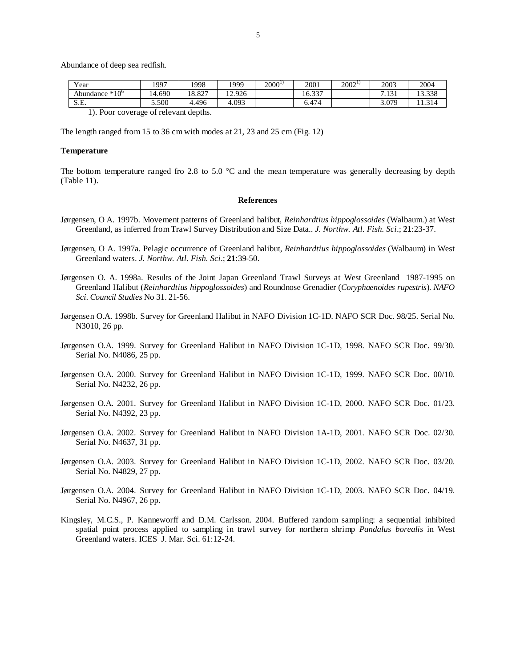Abundance of deep sea redfish.

| Year                 | 1997   | 1998   | 1999   | $2000^1$ | 2001                     | $2002^{11}$ | 2003                        | 2004   |
|----------------------|--------|--------|--------|----------|--------------------------|-------------|-----------------------------|--------|
| $*10^6$<br>Abundance | 14.690 | 18.827 | 12.926 |          | $\sim$ 00 $\pi$<br>16.35 |             | 121<br>$\mathbf{r}$<br>.151 | 13.338 |
| cг<br>S.E.           | 5.500  | 4.496  | 4.093  |          | 6.474                    |             | 3.079                       | 1.314  |
|                      | $\sim$ |        |        |          |                          |             |                             |        |

1). Poor coverage of relevant depths.

The length ranged from 15 to 36 cm with modes at 21, 23 and 25 cm (Fig. 12)

#### **Temperature**

The bottom temperature ranged fro 2.8 to 5.0  $^{\circ}$ C and the mean temperature was generally decreasing by depth (Table 11).

#### **References**

- Jørgensen, O A. 1997b. Movement patterns of Greenland halibut, *Reinhardtius hippoglossoides* (Walbaum.) at West Greenland, as inferred from Trawl Survey Distribution and Size Data.. *J. Northw. Atl. Fish. Sci*.; **21**:23-37.
- Jørgensen, O A. 1997a. Pelagic occurrence of Greenland halibut, *Reinhardtius hippoglossoides* (Walbaum) in West Greenland waters. *J. Northw. Atl. Fish. Sci*.; **21**:39-50.
- Jørgensen O. A. 1998a. Results of the Joint Japan Greenland Trawl Surveys at West Greenland 1987-1995 on Greenland Halibut (*Reinhardtius hippoglossoides*) and Roundnose Grenadier (*Coryphaenoides rupestris*). *NAFO Sci. Council Studies* No 31. 21-56.
- Jørgensen O.A. 1998b. Survey for Greenland Halibut in NAFO Division 1C-1D. NAFO SCR Doc. 98/25. Serial No. N3010, 26 pp.
- Jørgensen O.A. 1999. Survey for Greenland Halibut in NAFO Division 1C-1D, 1998. NAFO SCR Doc. 99/30. Serial No. N4086, 25 pp.
- Jørgensen O.A. 2000. Survey for Greenland Halibut in NAFO Division 1C-1D, 1999. NAFO SCR Doc. 00/10. Serial No. N4232, 26 pp.
- Jørgensen O.A. 2001. Survey for Greenland Halibut in NAFO Division 1C-1D, 2000. NAFO SCR Doc. 01/23. Serial No. N4392, 23 pp.
- Jørgensen O.A. 2002. Survey for Greenland Halibut in NAFO Division 1A-1D, 2001. NAFO SCR Doc. 02/30. Serial No. N4637, 31 pp.
- Jørgensen O.A. 2003. Survey for Greenland Halibut in NAFO Division 1C-1D, 2002. NAFO SCR Doc. 03/20. Serial No. N4829, 27 pp.
- Jørgensen O.A. 2004. Survey for Greenland Halibut in NAFO Division 1C-1D, 2003. NAFO SCR Doc. 04/19. Serial No. N4967, 26 pp.
- Kingsley, M.C.S., P. Kanneworff and D.M. Carlsson. 2004. Buffered random sampling: a sequential inhibited spatial point process applied to sampling in trawl survey for northern shrimp *Pandalus borealis* in West Greenland waters. ICES J. Mar. Sci. 61:12-24.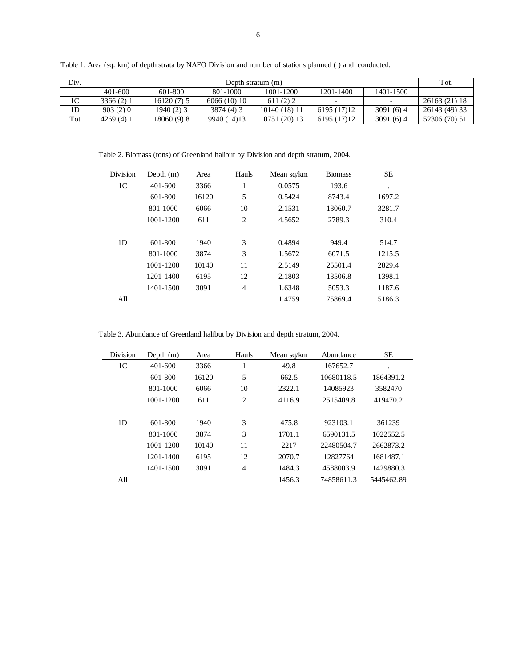| Div.           |            | Depth stratum (m) |             |               |             |           |               |  |  |  |  |
|----------------|------------|-------------------|-------------|---------------|-------------|-----------|---------------|--|--|--|--|
|                | 401-600    | 601-800           | 801-1000    | 1001-1200     | 1201-1400   | 1401-1500 |               |  |  |  |  |
| 1 <sup>C</sup> | 3366 (2) 1 | 16120 (7) 5       | 6066(10)10  | 611(2)2       |             |           | 26163 (21) 18 |  |  |  |  |
| 1 <sub>D</sub> | 903(2)0    | $1940(2)$ 3       | 3874 (4) 3  | 10140 (18) 11 | 6195 (17)12 | 3091(6)4  | 26143 (49) 33 |  |  |  |  |
| Tot            | 4269(4)1   | 18060 (9) 8       | 9940 (14)13 | 10751 (20) 13 | 6195 (17)12 | 3091(6)4  | 52306 (70) 51 |  |  |  |  |

Table 1. Area (sq. km) of depth strata by NAFO Division and number of stations planned ( ) and conducted.

Table 2. Biomass (tons) of Greenland halibut by Division and depth stratum, 2004.

| Division       | Depth $(m)$ | Area  | Hauls | Mean sq/km | <b>Biomass</b> | <b>SE</b> |
|----------------|-------------|-------|-------|------------|----------------|-----------|
| 1 <sup>C</sup> | 401-600     | 3366  | 1     | 0.0575     | 193.6          | $\bullet$ |
|                | 601-800     | 16120 | 5     | 0.5424     | 8743.4         | 1697.2    |
|                | 801-1000    | 6066  | 10    | 2.1531     | 13060.7        | 3281.7    |
|                | 1001-1200   | 611   | 2     | 4.5652     | 2789.3         | 310.4     |
|                |             |       |       |            |                |           |
| 1 <sub>D</sub> | 601-800     | 1940  | 3     | 0.4894     | 949.4          | 514.7     |
|                | 801-1000    | 3874  | 3     | 1.5672     | 6071.5         | 1215.5    |
|                | 1001-1200   | 10140 | 11    | 2.5149     | 25501.4        | 2829.4    |
|                | 1201-1400   | 6195  | 12    | 2.1803     | 13506.8        | 1398.1    |
|                | 1401-1500   | 3091  | 4     | 1.6348     | 5053.3         | 1187.6    |
| All            |             |       |       | 1.4759     | 75869.4        | 5186.3    |

Table 3. Abundance of Greenland halibut by Division and depth stratum, 2004.

| Division       | Depth $(m)$ | Area  | Hauls | Mean sq/km | Abundance  | <b>SE</b>  |
|----------------|-------------|-------|-------|------------|------------|------------|
| 1 <sup>C</sup> | 401-600     | 3366  | 1     | 49.8       | 167652.7   | ٠          |
|                | 601-800     | 16120 | 5     | 662.5      | 10680118.5 | 1864391.2  |
|                | 801-1000    | 6066  | 10    | 2322.1     | 14085923   | 3582470    |
|                | 1001-1200   | 611   | 2     | 4116.9     | 2515409.8  | 419470.2   |
|                |             |       |       |            |            |            |
| 1D             | 601-800     | 1940  | 3     | 475.8      | 923103.1   | 361239     |
|                | 801-1000    | 3874  | 3     | 1701.1     | 6590131.5  | 1022552.5  |
|                | 1001-1200   | 10140 | 11    | 2217       | 22480504.7 | 2662873.2  |
|                | 1201-1400   | 6195  | 12    | 2070.7     | 12827764   | 1681487.1  |
|                | 1401-1500   | 3091  | 4     | 1484.3     | 4588003.9  | 1429880.3  |
| All            |             |       |       | 1456.3     | 74858611.3 | 5445462.89 |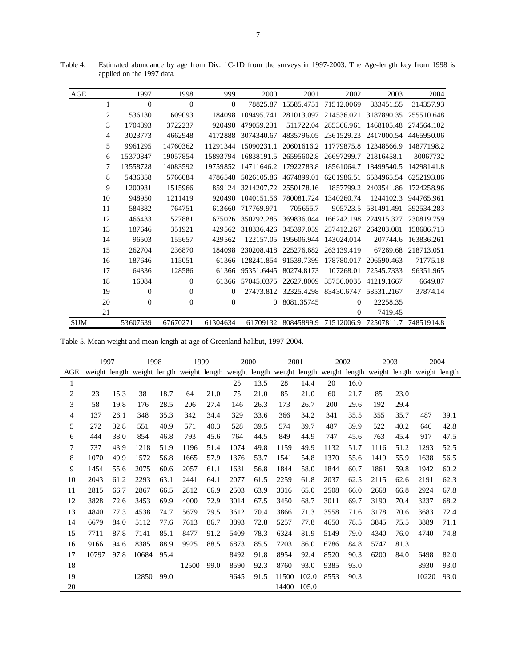| AGE        |    | 1997         | 1998         | 1999     | 2000       | 2001       | 2002       | 2003       | 2004                  |
|------------|----|--------------|--------------|----------|------------|------------|------------|------------|-----------------------|
|            | 1  | $\mathbf{0}$ | $\theta$     | $\theta$ | 78825.87   | 15585.4751 | 71512.0069 | 833451.55  | 314357.93             |
|            | 2  | 536130       | 609093       | 184098   | 109495.741 | 281013.097 | 214536.021 | 3187890.35 | 255510.648            |
|            | 3  | 1704893      | 3722237      | 920490   | 479059.231 | 511722.04  | 285366.961 | 1468105.48 | 274564.102            |
|            | 4  | 3023773      | 4662948      | 4172888  | 3074340.67 | 4835796.05 | 2361529.23 | 2417000.54 | 4465950.06            |
|            | 5  | 9961295      | 14760362     | 11291344 | 15090231.1 | 20601616.2 | 11779875.8 | 12348566.9 | 14877198.2            |
|            | 6  | 15370847     | 19057854     | 15893794 | 16838191.5 | 26595602.8 | 26697299.7 | 21816458.1 | 30067732              |
|            | 7  | 13558728     | 14083592     | 19759852 | 14711646.2 | 17922783.8 | 18561064.7 | 18499540.5 | 14298141.8            |
|            | 8  | 5436358      | 5766084      | 4786548  | 5026105.86 | 4674899.01 | 6201986.51 | 6534965.54 | 6252193.86            |
|            | 9  | 1200931      | 1515966      | 859124   | 3214207.72 | 2550178.16 | 1857799.2  | 2403541.86 | 1724258.96            |
|            | 10 | 948950       | 1211419      | 920490   | 1040151.56 | 780081.724 | 1340260.74 | 1244102.3  | 944765.961            |
|            | 11 | 584382       | 764751       | 613660   | 717769.971 | 705655.7   | 905723.5   | 581491.491 | 392534.283            |
|            | 12 | 466433       | 527881       | 675026   | 350292.285 | 369836.044 | 166242.198 | 224915.327 | 230819.759            |
|            | 13 | 187646       | 351921       | 429562   | 318336.426 | 345397.059 | 257412.267 | 264203.081 | 158686.713            |
|            | 14 | 96503        | 155657       | 429562   | 122157.05  | 195606.944 | 143024.014 | 207744.6   | 163836.261            |
|            | 15 | 262704       | 236870       | 184098   | 230208.418 | 225276.682 | 263139.419 | 67269.68   | 218713.051            |
|            | 16 | 187646       | 115051       | 61366    | 128241.854 | 91539.7399 | 178780.017 | 206590.463 | 71775.18              |
|            | 17 | 64336        | 128586       | 61366    | 95351.6445 | 80274.8173 | 107268.01  | 72545.7333 | 96351.965             |
|            | 18 | 16084        | $\Omega$     | 61366    | 57045.0375 | 22627.8009 | 35756.0035 | 41219.1667 | 6649.87               |
|            | 19 | $\theta$     | $\mathbf{0}$ | $\theta$ | 27473.812  | 32325.4298 | 83430.6747 | 58531.2167 | 37874.14              |
|            | 20 | $\theta$     | $\mathbf{0}$ | $\Omega$ | $\Omega$   | 8081.35745 | $\Omega$   | 22258.35   |                       |
|            | 21 |              |              |          |            |            | $\theta$   | 7419.45    |                       |
| <b>SUM</b> |    | 53607639     | 67670271     | 61304634 | 61709132   | 80845899.9 | 71512006.9 |            | 72507811.7 74851914.8 |

Table 4. Estimated abundance by age from Div. 1C-1D from the surveys in 1997-2003. The Age-length key from 1998 is applied on the 1997 data.

Table 5. Mean weight and mean length-at-age of Greenland halibut, 1997-2004.

|                | 1997  |      | 1998  |      | 1999  |      | 2000 |      | 2001  |       |      | 2002 | 2003 |      |                                                                                                                 | 2004 |  |
|----------------|-------|------|-------|------|-------|------|------|------|-------|-------|------|------|------|------|-----------------------------------------------------------------------------------------------------------------|------|--|
| AGE            |       |      |       |      |       |      |      |      |       |       |      |      |      |      | weight length weight length weight length weight length weight length weight length weight length weight length |      |  |
| 1              |       |      |       |      |       |      | 25   | 13.5 | 28    | 14.4  | 20   | 16.0 |      |      |                                                                                                                 |      |  |
| $\overline{c}$ | 23    | 15.3 | 38    | 18.7 | 64    | 21.0 | 75   | 21.0 | 85    | 21.0  | 60   | 21.7 | 85   | 23.0 |                                                                                                                 |      |  |
| 3              | 58    | 19.8 | 176   | 28.5 | 206   | 27.4 | 146  | 26.3 | 173   | 26.7  | 200  | 29.6 | 192  | 29.4 |                                                                                                                 |      |  |
| 4              | 137   | 26.1 | 348   | 35.3 | 342   | 34.4 | 329  | 33.6 | 366   | 34.2  | 341  | 35.5 | 355  | 35.7 | 487                                                                                                             | 39.1 |  |
| 5              | 272   | 32.8 | 551   | 40.9 | 571   | 40.3 | 528  | 39.5 | 574   | 39.7  | 487  | 39.9 | 522  | 40.2 | 646                                                                                                             | 42.8 |  |
| 6              | 444   | 38.0 | 854   | 46.8 | 793   | 45.6 | 764  | 44.5 | 849   | 44.9  | 747  | 45.6 | 763  | 45.4 | 917                                                                                                             | 47.5 |  |
| 7              | 737   | 43.9 | 1218  | 51.9 | 1196  | 51.4 | 1074 | 49.8 | 1159  | 49.9  | 1132 | 51.7 | 1116 | 51.2 | 1293                                                                                                            | 52.5 |  |
| 8              | 1070  | 49.9 | 1572  | 56.8 | 1665  | 57.9 | 1376 | 53.7 | 1541  | 54.8  | 1370 | 55.6 | 1419 | 55.9 | 1638                                                                                                            | 56.5 |  |
| 9              | 1454  | 55.6 | 2075  | 60.6 | 2057  | 61.1 | 1631 | 56.8 | 1844  | 58.0  | 1844 | 60.7 | 1861 | 59.8 | 1942                                                                                                            | 60.2 |  |
| 10             | 2043  | 61.2 | 2293  | 63.1 | 2441  | 64.1 | 2077 | 61.5 | 2259  | 61.8  | 2037 | 62.5 | 2115 | 62.6 | 2191                                                                                                            | 62.3 |  |
| 11             | 2815  | 66.7 | 2867  | 66.5 | 2812  | 66.9 | 2503 | 63.9 | 3316  | 65.0  | 2508 | 66.0 | 2668 | 66.8 | 2924                                                                                                            | 67.8 |  |
| 12             | 3828  | 72.6 | 3453  | 69.9 | 4000  | 72.9 | 3014 | 67.5 | 3450  | 68.7  | 3011 | 69.7 | 3190 | 70.4 | 3237                                                                                                            | 68.2 |  |
| 13             | 4840  | 77.3 | 4538  | 74.7 | 5679  | 79.5 | 3612 | 70.4 | 3866  | 71.3  | 3558 | 71.6 | 3178 | 70.6 | 3683                                                                                                            | 72.4 |  |
| 14             | 6679  | 84.0 | 5112  | 77.6 | 7613  | 86.7 | 3893 | 72.8 | 5257  | 77.8  | 4650 | 78.5 | 3845 | 75.5 | 3889                                                                                                            | 71.1 |  |
| 15             | 7711  | 87.8 | 7141  | 85.1 | 8477  | 91.2 | 5409 | 78.3 | 6324  | 81.9  | 5149 | 79.0 | 4340 | 76.0 | 4740                                                                                                            | 74.8 |  |
| 16             | 9166  | 94.6 | 8385  | 88.9 | 9925  | 88.5 | 6873 | 85.5 | 7203  | 86.0  | 6786 | 84.8 | 5747 | 81.3 |                                                                                                                 |      |  |
| 17             | 10797 | 97.8 | 10684 | 95.4 |       |      | 8492 | 91.8 | 8954  | 92.4  | 8520 | 90.3 | 6200 | 84.0 | 6498                                                                                                            | 82.0 |  |
| 18             |       |      |       |      | 12500 | 99.0 | 8590 | 92.3 | 8760  | 93.0  | 9385 | 93.0 |      |      | 8930                                                                                                            | 93.0 |  |
| 19             |       |      | 12850 | 99.0 |       |      | 9645 | 91.5 | 11500 | 102.0 | 8553 | 90.3 |      |      | 10220                                                                                                           | 93.0 |  |
| 20             |       |      |       |      |       |      |      |      | 14400 | 105.0 |      |      |      |      |                                                                                                                 |      |  |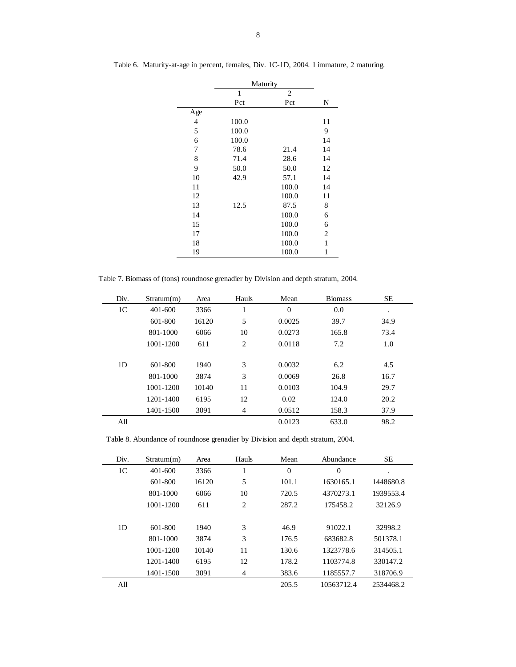|                |       | Maturity       |    |
|----------------|-------|----------------|----|
|                | 1     | $\overline{2}$ |    |
|                | Pct   | Pct            | N  |
| Age            |       |                |    |
| $\overline{4}$ | 100.0 |                | 11 |
| 5              | 100.0 |                | 9  |
| 6              | 100.0 |                | 14 |
| 7              | 78.6  | 21.4           | 14 |
| 8              | 71.4  | 28.6           | 14 |
| 9              | 50.0  | 50.0           | 12 |
| 10             | 42.9  | 57.1           | 14 |
| 11             |       | 100.0          | 14 |
| 12             |       | 100.0          | 11 |
| 13             | 12.5  | 87.5           | 8  |
| 14             |       | 100.0          | 6  |
| 15             |       | 100.0          | 6  |
| 17             |       | 100.0          | 2  |
| 18             |       | 100.0          | 1  |
| 19             |       | 100.0          | 1  |

Table 6. Maturity-at-age in percent, females, Div. 1C-1D, 2004. 1 immature, 2 maturing.

Table 7. Biomass of (tons) roundnose grenadier by Division and depth stratum, 2004.

| Div. | Stratum(m) | Area  | Hauls          | Mean         | <b>Biomass</b> | <b>SE</b> |
|------|------------|-------|----------------|--------------|----------------|-----------|
| 1C   | 401-600    | 3366  |                | $\mathbf{0}$ | 0.0            | ٠         |
|      | 601-800    | 16120 | 5              | 0.0025       | 39.7           | 34.9      |
|      | 801-1000   | 6066  | 10             | 0.0273       | 165.8          | 73.4      |
|      | 1001-1200  | 611   | 2              | 0.0118       | 7.2            | 1.0       |
|      |            |       |                |              |                |           |
| 1D   | 601-800    | 1940  | 3              | 0.0032       | 6.2            | 4.5       |
|      | 801-1000   | 3874  | 3              | 0.0069       | 26.8           | 16.7      |
|      | 1001-1200  | 10140 | 11             | 0.0103       | 104.9          | 29.7      |
|      | 1201-1400  | 6195  | 12             | 0.02         | 124.0          | 20.2      |
|      | 1401-1500  | 3091  | $\overline{4}$ | 0.0512       | 158.3          | 37.9      |
| All  |            |       |                | 0.0123       | 633.0          | 98.2      |

Table 8. Abundance of roundnose grenadier by Division and depth stratum, 2004.

| Div.           | Stratum(m)  | Area  | Hauls | Mean           | Abundance      | <b>SE</b> |
|----------------|-------------|-------|-------|----------------|----------------|-----------|
| 1 <sup>C</sup> | $401 - 600$ | 3366  | T     | $\overline{0}$ | $\overline{0}$ | ٠         |
|                | 601-800     | 16120 | 5     | 101.1          | 1630165.1      | 1448680.8 |
|                | 801-1000    | 6066  | 10    | 720.5          | 4370273.1      | 1939553.4 |
|                | 1001-1200   | 611   | 2     | 287.2          | 175458.2       | 32126.9   |
|                |             |       |       |                |                |           |
| 1D             | 601-800     | 1940  | 3     | 46.9           | 91022.1        | 32998.2   |
|                | 801-1000    | 3874  | 3     | 176.5          | 683682.8       | 501378.1  |
|                | 1001-1200   | 10140 | 11    | 130.6          | 1323778.6      | 314505.1  |
|                | 1201-1400   | 6195  | 12    | 178.2          | 1103774.8      | 330147.2  |
|                | 1401-1500   | 3091  | 4     | 383.6          | 1185557.7      | 318706.9  |
| All            |             |       |       | 205.5          | 10563712.4     | 2534468.2 |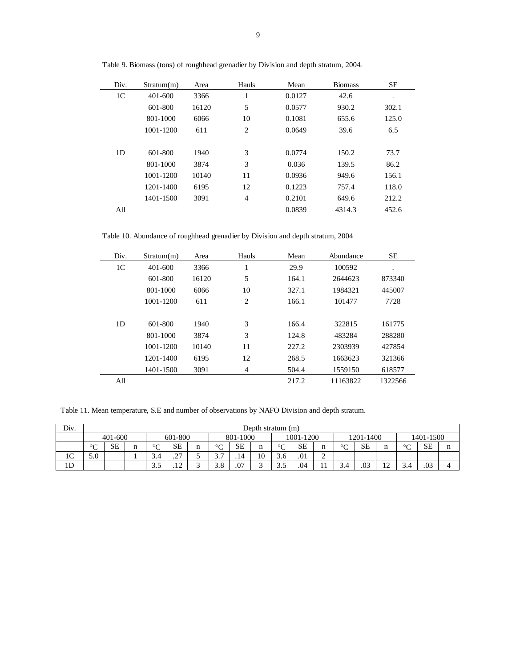| Div.           | Stratum(m) | Area  | Hauls | Mean   | <b>Biomass</b> | <b>SE</b> |
|----------------|------------|-------|-------|--------|----------------|-----------|
| 1 <sup>C</sup> | 401-600    | 3366  | 1     | 0.0127 | 42.6           | ٠         |
|                | 601-800    | 16120 | 5     | 0.0577 | 930.2          | 302.1     |
|                | 801-1000   | 6066  | 10    | 0.1081 | 655.6          | 125.0     |
|                | 1001-1200  | 611   | 2     | 0.0649 | 39.6           | 6.5       |
|                |            |       |       |        |                |           |
| 1D             | 601-800    | 1940  | 3     | 0.0774 | 150.2          | 73.7      |
|                | 801-1000   | 3874  | 3     | 0.036  | 139.5          | 86.2      |
|                | 1001-1200  | 10140 | 11    | 0.0936 | 949.6          | 156.1     |
|                | 1201-1400  | 6195  | 12    | 0.1223 | 757.4          | 118.0     |
|                | 1401-1500  | 3091  | 4     | 0.2101 | 649.6          | 212.2     |
| All            |            |       |       | 0.0839 | 4314.3         | 452.6     |

Table 9. Biomass (tons) of roughhead grenadier by Division and depth stratum, 2004.

Table 10. Abundance of roughhead grenadier by Division and depth stratum, 2004

| Div.           | Stratum(m) | Area  | Hauls | Mean  | Abundance | SE.     |
|----------------|------------|-------|-------|-------|-----------|---------|
| 1 <sup>C</sup> | 401-600    | 3366  | 1     | 29.9  | 100592    |         |
|                | 601-800    | 16120 | 5     | 164.1 | 2644623   | 873340  |
|                | 801-1000   | 6066  | 10    | 327.1 | 1984321   | 445007  |
|                | 1001-1200  | 611   | 2     | 166.1 | 101477    | 7728    |
|                |            |       |       |       |           |         |
| 1 <sub>D</sub> | 601-800    | 1940  | 3     | 166.4 | 322815    | 161775  |
|                | 801-1000   | 3874  | 3     | 124.8 | 483284    | 288280  |
|                | 1001-1200  | 10140 | 11    | 227.2 | 2303939   | 427854  |
|                | 1201-1400  | 6195  | 12    | 268.5 | 1663623   | 321366  |
|                | 1401-1500  | 3091  | 4     | 504.4 | 1559150   | 618577  |
| All            |            |       |       | 217.2 | 11163822  | 1322566 |

Table 11. Mean temperature, S.E and number of observations by NAFO Division and depth stratum.

| Div.           | Depth stratum (m) |                                                                       |   |              |                     |   |                        |           |       |              |     |   |        |     |             |         |     |   |
|----------------|-------------------|-----------------------------------------------------------------------|---|--------------|---------------------|---|------------------------|-----------|-------|--------------|-----|---|--------|-----|-------------|---------|-----|---|
|                |                   | 1001-1200<br>601-800<br>801-1000<br>1401-1500<br>1201-1400<br>401-600 |   |              |                     |   |                        |           |       |              |     |   |        |     |             |         |     |   |
|                | $\circ$<br>◡      | SE                                                                    | n | $\circ$<br>◡ | <b>SE</b>           | n | $\sim$<br>◡            | <b>SE</b> | n<br> | $\circ$<br>◡ | SЕ  |   | $\sim$ | SЕ  |             | $\circ$ | SE  | n |
| 1 <sup>C</sup> | 5.0               |                                                                       |   | 3.4          | $\sim$<br>. .       | - | $\sim$ $\sim$<br>، . ب | .14       | 10    | 3.6          | .01 | ∽ |        |     |             |         |     |   |
| 1 <sub>D</sub> |                   |                                                                       |   | ن. ب         | $1^{\circ}$<br>$-1$ |   | 3.8                    | .07       |       | 3.5          | .04 |   | 3.4    | .03 | $\sim$<br>∸ | ີ.      | .03 |   |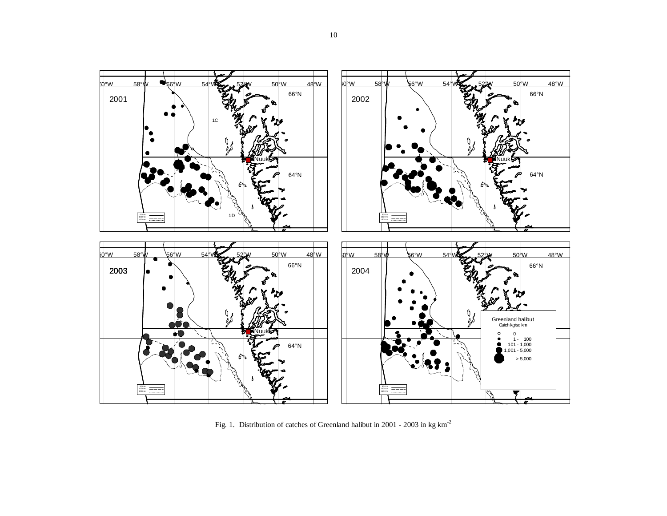

Fig. 1. Distribution of catches of Greenland halibut in 2001 - 2003 in kg km-<sup>2</sup>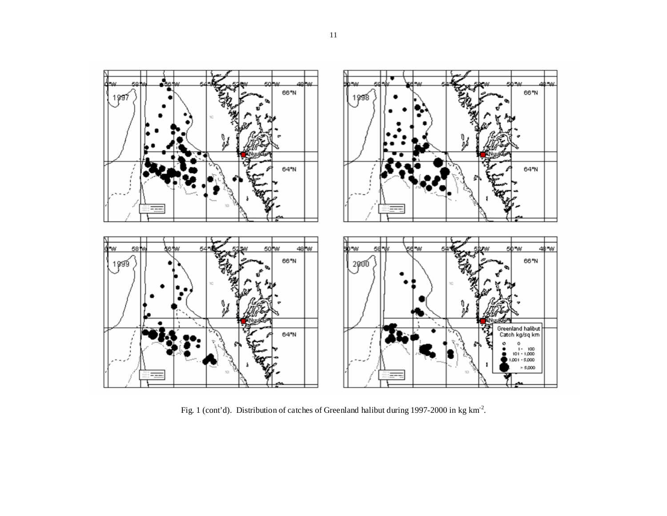

Fig. 1 (cont'd). Distribution of catches of Greenland halibut during 1997-2000 in kg km-2.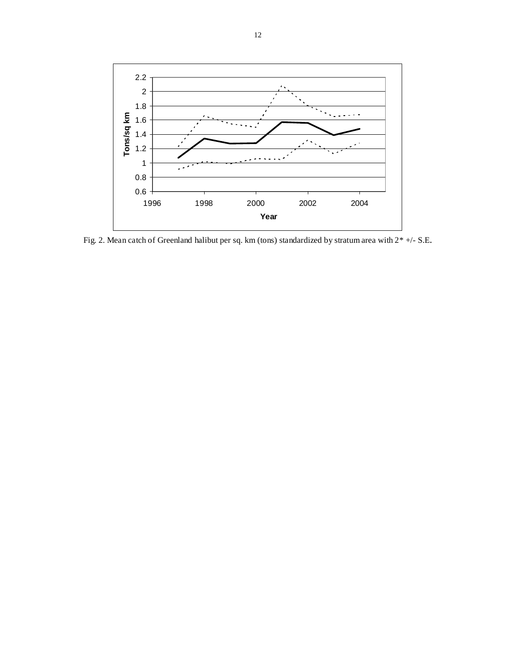

Fig. 2. Mean catch of Greenland halibut per sq. km (tons) standardized by stratum area with 2\* +/- S.E.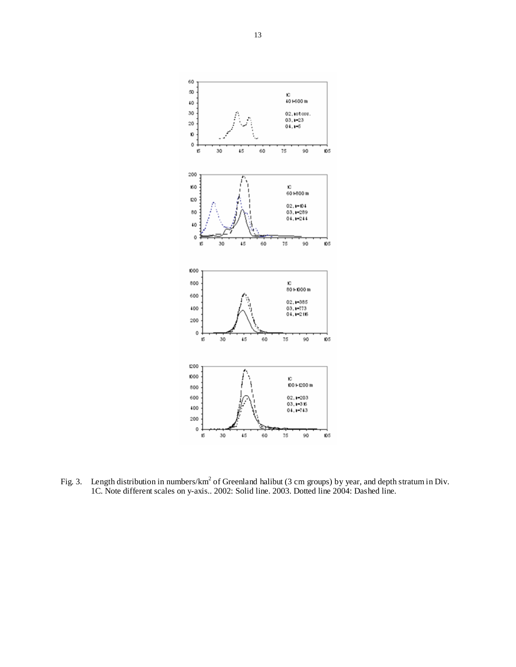

Fig. 3. Length distribution in numbers/km<sup>2</sup> of Greenland halibut (3 cm groups) by year, and depth stratum in Div. 1C. Note different scales on y-axis.. 2002: Solid line. 2003. Dotted line 2004: Dashed line.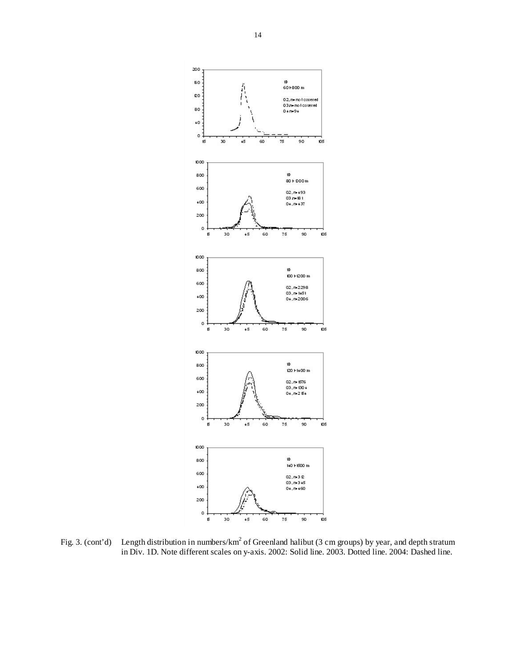

Fig. 3. (cont'd) Length distribution in numbers/km<sup>2</sup> of Greenland halibut (3 cm groups) by year, and depth stratum in Div. 1D. Note different scales on y-axis. 2002: Solid line. 2003. Dotted line. 2004: Dashed line.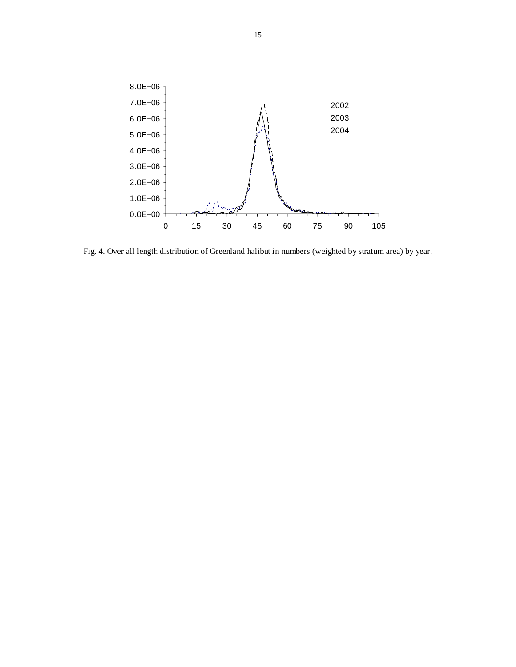

Fig. 4. Over all length distribution of Greenland halibut in numbers (weighted by stratum area) by year.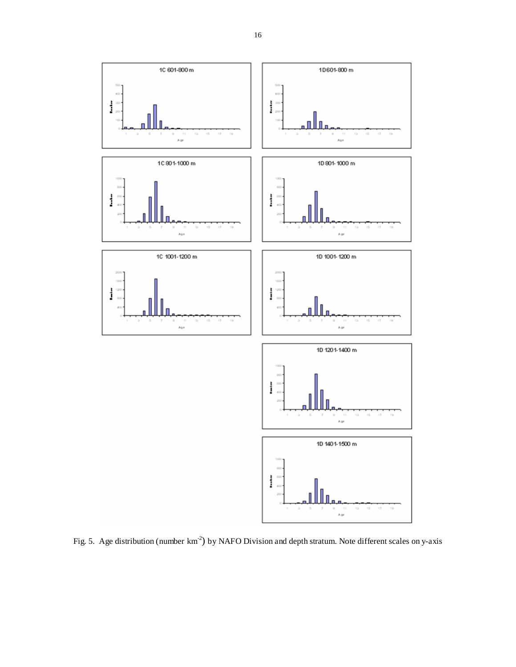

Fig. 5. Age distribution (number km<sup>-2</sup>) by NAFO Division and depth stratum. Note different scales on y-axis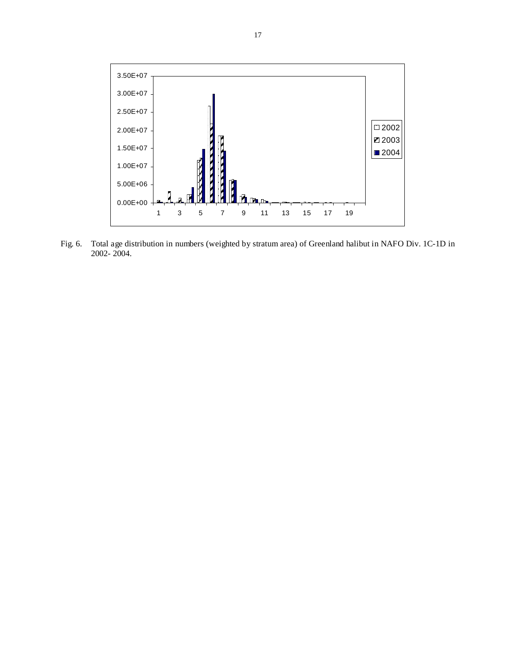

Fig. 6. Total age distribution in numbers (weighted by stratum area) of Greenland halibut in NAFO Div. 1C-1D in 2002- 2004.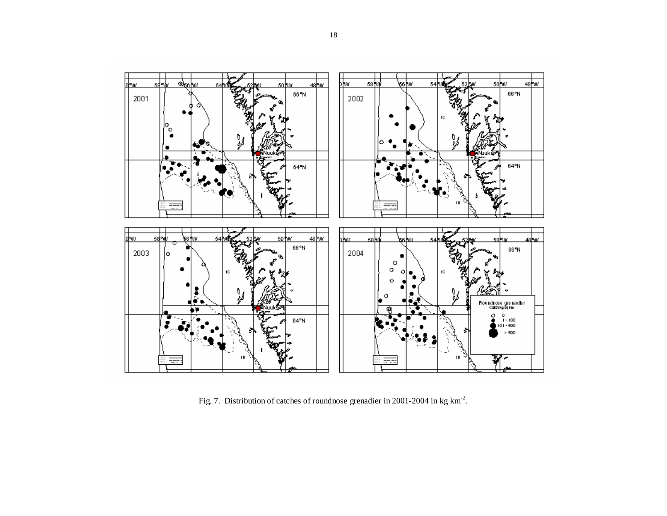

Fig. 7. Distribution of catches of roundnose grenadier in 2001-2004 in kg km-2.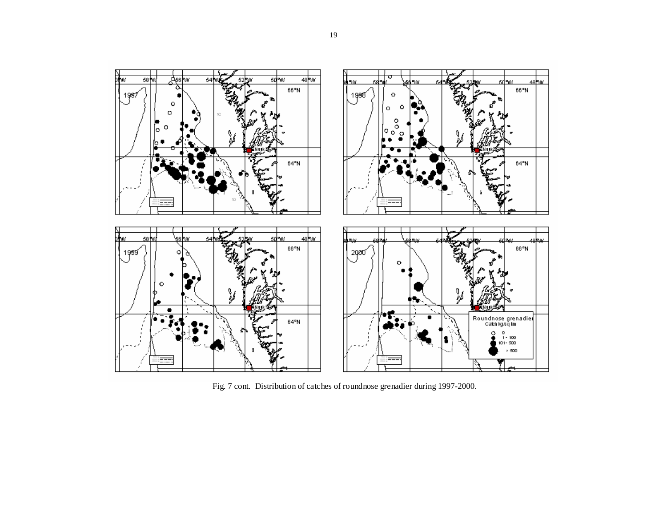

Fig. 7 cont. Distribution of catches of roundnose grenadier during 1997-2000.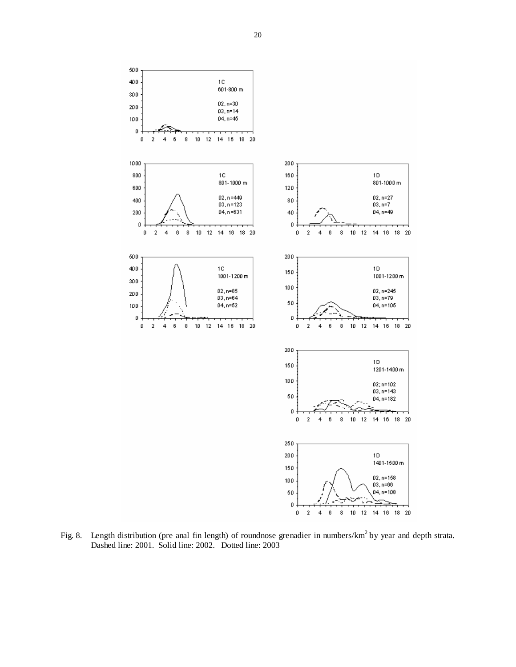

Fig. 8. Length distribution (pre anal fin length) of roundnose grenadier in numbers/km<sup>2</sup> by year and depth strata. Dashed line: 2001. Solid line: 2002. Dotted line: 2003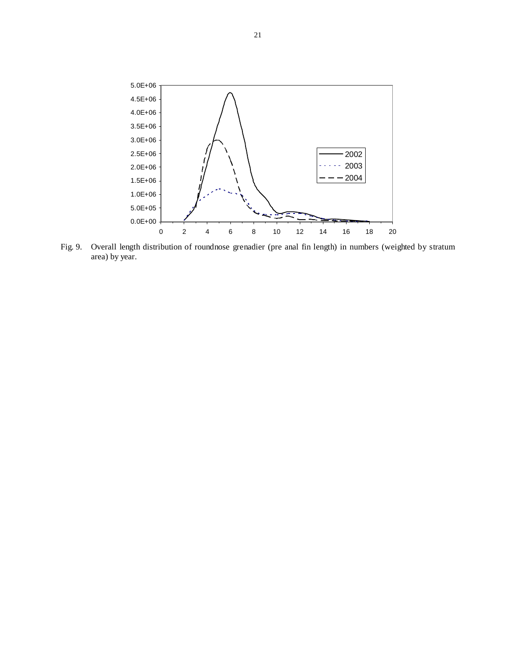

Fig. 9. Overall length distribution of roundnose grenadier (pre anal fin length) in numbers (weighted by stratum area) by year.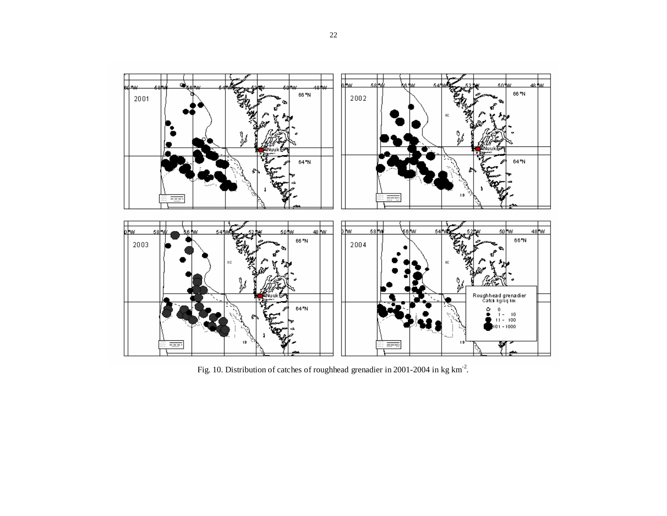

Fig. 10. Distribution of catches of roughhead grenadier in 2001-2004 in kg km-2.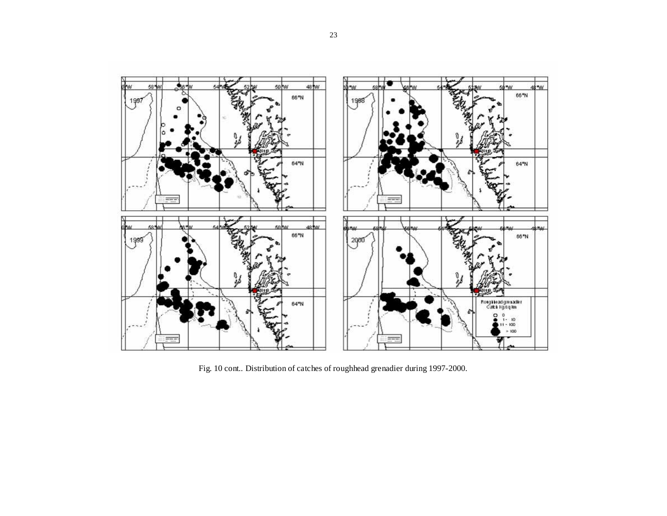

Fig. 10 cont.. Distribution of catches of roughhead grenadier during 1997-2000.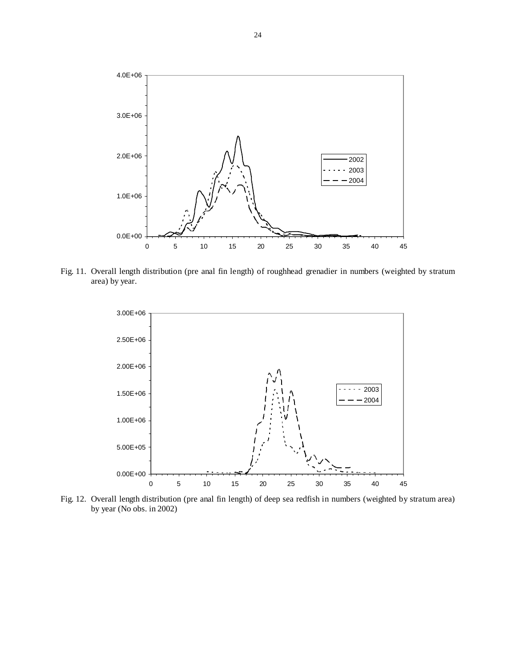

Fig. 11. Overall length distribution (pre anal fin length) of roughhead grenadier in numbers (weighted by stratum area) by year.



Fig. 12. Overall length distribution (pre anal fin length) of deep sea redfish in numbers (weighted by stratum area) by year (No obs. in 2002)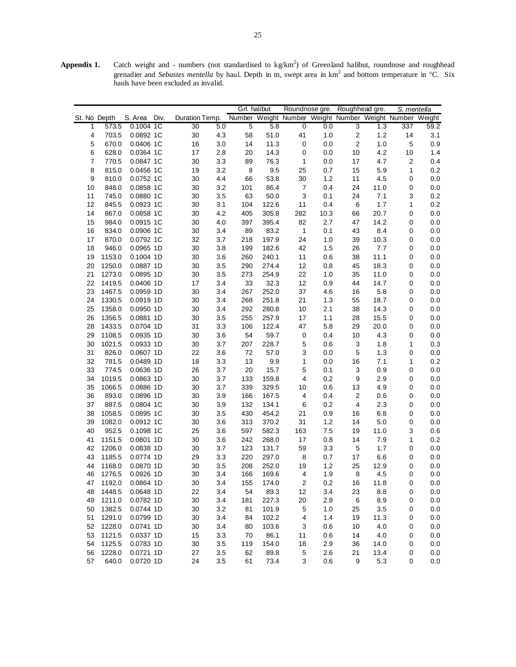Appendix 1. Catch weight and - numbers (not standardised to kg/km<sup>2</sup>) of Greenland halibut, roundnose and roughhead grenadier and *Sebastes mentella* by haul. Depth in m, swept area in km<sup>2</sup> and bottom temperature in °C. Six hauls have been excluded as invalid.

|                |              |              |                                                                        |     |             | Grl. halibut |                         |      | Roundnose gre. Roughhead gre. |      | S. mentella    |         |
|----------------|--------------|--------------|------------------------------------------------------------------------|-----|-------------|--------------|-------------------------|------|-------------------------------|------|----------------|---------|
|                | St. No Depth | S. Area Div. | Duration Temp. Number Weight Number Weight Number Weight Number Weight |     |             |              |                         |      |                               |      |                |         |
| 1              | 573.5        | 0.1004 1C    | 30                                                                     | 5.0 | $\mathbf 5$ | 5.8          | 0                       | 0.0  | 3                             | 1.3  | 337            | 59.2    |
| 4              | 703.5        | 0.0892 1C    | 30                                                                     | 4.3 | 58          | 51.0         | 41                      | 1.0  | $\mathbf 2$                   | 1.2  | 14             | 3.1     |
| 5              | 670.0        | 0.0406 1C    | 16                                                                     | 3.0 | 14          | 11.3         | $\mathbf 0$             | 0.0  | 2                             | 1.0  | 5              | 0.9     |
| 6              | 628.0        | 0.0364 1C    | 17                                                                     | 2.8 | 20          | 14.3         | 0                       | 0.0  | 10                            | 4.2  | 10             | 1.4     |
| $\overline{7}$ | 770.5        | 0.0847 1C    | 30                                                                     | 3.3 | 89          | 76.3         | 1                       | 0.0  | 17                            | 4.7  | $\overline{2}$ | 0.4     |
| 8              | 815.0        | 0.0456 1C    | 19                                                                     | 3.2 | 8           | 9.5          | 25                      | 0.7  | 15                            | 5.9  | 1              | 0.2     |
| 9              | 810.0        | 0.0752 1C    | 30                                                                     | 4.4 | 66          | 53.8         | 30                      | 1.2  | 11                            | 4.5  | 0              | 0.0     |
| 10             | 848.0        | 0.0858 1C    | 30                                                                     | 3.2 | 101         | 86.4         | 7                       | 0.4  | 24                            | 11.0 | 0              | 0.0     |
| 11             | 745.0        | 0.0880 1C    | 30                                                                     | 3.5 | 63          | 50.0         | 3                       | 0.1  | 24                            | 7.1  | 3              | 0.2     |
| 12             | 845.5        | 0.0923 1C    | 30                                                                     | 3.1 | 104         | 122.6        | 11                      | 0.4  | 6                             | 1.7  | 1              | 0.2     |
| 14             | 867.0        | 0.0858 1C    | 30                                                                     | 4.2 | 405         | 305.8        | 282                     | 10.3 | 66                            | 20.7 | 0              | 0.0     |
| 15             | 984.0        | 0.0915 1C    | 30                                                                     | 4.0 | 397         | 395.4        | 82                      | 2.7  | 47                            | 14.2 | 0              | 0.0     |
| 16             | 834.0        | 0.0906 1C    | 30                                                                     | 3.4 | 89          | 83.2         | 1                       | 0.1  | 43                            | 8.4  | 0              | 0.0     |
| 17             | 870.0        | 0.0792 1C    | 32                                                                     | 3.7 | 218         | 197.9        | 24                      | 1.0  | 39                            | 10.3 | 0              | 0.0     |
| 18             | 946.0        | 0.0965 1D    | 30                                                                     | 3.8 | 199         | 182.6        | 42                      | 1.5  | 26                            | 7.7  | 0              | 0.0     |
| 19             | 1153.0       | 0.1004 1D    | 30                                                                     | 3.6 | 260         | 240.1        | 11                      | 0.6  | 38                            | 11.1 | 0              | 0.0     |
| 20             | 1250.0       | 0.0887 1D    | 30                                                                     | 3.5 | 290         | 274.4        | 12                      | 0.8  | 45                            | 18.3 | 0              | 0.0     |
| 21             | 1273.0       | 0.0895 1D    | 30                                                                     | 3.5 | 273         | 254.9        | 22                      | 1.0  | 35                            | 11.0 | 0              | 0.0     |
| 22             | 1419.5       | 0.0406 1D    | 17                                                                     | 3.4 | 33          | 32.3         | 12                      | 0.9  | 44                            | 14.7 | 0              | 0.0     |
| 23             | 1467.5       | 0.0959 1D    | 30                                                                     | 3.4 | 267         | 252.0        | 37                      | 4.6  | 16                            | 5.8  | 0              | 0.0     |
| 24             | 1330.5       | 0.0919 1D    | 30                                                                     | 3.4 | 268         | 251.8        | 21                      | 1.3  | 55                            | 18.7 | 0              | 0.0     |
| 25             | 1358.0       | 0.0950 1D    | 30                                                                     | 3.4 | 292         | 280.8        | 10                      | 2.1  | 38                            | 14.3 | 0              | 0.0     |
| 26             | 1356.5       | 0.0881 1D    | 30                                                                     | 3.5 | 255         | 257.9        | 17                      | 1.1  | 28                            | 15.5 | 0              | 0.0     |
| 28             | 1433.5       | 0.0704 1D    | 31                                                                     | 3.3 | 106         | 122.4        | 47                      | 5.8  | 29                            | 20.0 | 0              | 0.0     |
| 29             | 1108.5       | 0.0935 1D    | 30                                                                     | 3.6 | 54          | 59.7         | 0                       | 0.4  | 10                            | 4.3  | 0              | 0.0     |
| 30             | 1021.5       | 0.0933 1D    | 30                                                                     | 3.7 | 207         | 228.7        | 5                       | 0.6  | 3                             | 1.8  | 1              | 0.3     |
| 31             | 826.0        | 0.0607 1D    | 22                                                                     | 3.6 | 72          | 57.0         | 3                       | 0.0  | 5                             | 1.3  | 0              | 0.0     |
| 32             | 781.5        | 0.0489 1D    | 18                                                                     | 3.3 | 13          | 9.9          | 1                       | 0.0  | 16                            | 7.1  | 1              | 0.2     |
| 33             | 774.5        | 0.0636 1D    | 26                                                                     | 3.7 | 20          | 15.7         | 5                       | 0.1  | 3                             | 0.9  | 0              | 0.0     |
| 34             | 1019.5       | 0.0863 1D    | 30                                                                     | 3.7 | 133         | 159.8        | 4                       | 0.2  | 9                             | 2.9  | 0              | 0.0     |
| 35             | 1066.5       | 0.0886 1D    | 30                                                                     | 3.7 | 339         | 329.5        | 10                      | 0.6  | 13                            | 4.9  | 0              | 0.0     |
| 36             | 893.0        | 0.0896 1D    | 30                                                                     | 3.9 | 166         | 167.5        | 4                       | 0.4  | 2                             | 0.6  | 0              | 0.0     |
| 37             | 887.5        | 0.0804 1C    | 30                                                                     | 3.9 | 132         | 134.1        | 6                       | 0.2  | $\overline{\mathbf{4}}$       | 2.3  | 0              | 0.0     |
| 38             | 1058.5       | 0.0895 1C    | 30                                                                     | 3.5 | 430         | 454.2        | 21                      | 0.9  | 16                            | 6.8  | 0              | 0.0     |
| 39             | 1082.0       | 0.0912 1C    | 30                                                                     | 3.6 | 313         | 370.2        | 31                      | 1.2  | 14                            | 5.0  | 0              | 0.0     |
| 40             | 952.5        | 0.1098 1C    | 25                                                                     | 3.6 | 597         | 582.3        | 163                     | 7.5  | 19                            | 11.0 | 3              | 0.6     |
| 41             | 1151.5       | 0.0801 1D    | 30                                                                     | 3.6 | 242         | 268.0        | 17                      | 0.8  | 14                            | 7.9  | 1              | 0.2     |
| 42             | 1206.0       | 0.0838 1D    | 30                                                                     | 3.7 | 123         | 131.7        | 59                      | 3.3  | 5                             | 1.7  | 0              | 0.0     |
| 43             | 1185.5       | 0.0774 1D    | 29                                                                     | 3.3 | 220         | 297.0        | 8                       | 0.7  | 17                            | 6.6  | 0              | 0.0     |
| 44             | 1168.0       | 0.0870 1D    | 30                                                                     | 3.5 | 208         | 252.0        | 19                      | 1.2  | 25                            | 12.9 | 0              | 0.0     |
| 46             | 1276.5       | 0.0926 1D    | 30                                                                     | 3.4 | 166         | 169.6        | 4                       | 1.9  | 8                             | 4.5  | 0              | 0.0     |
| 47             | 1192.0       | 0.0864 1D    | 30                                                                     | 3.4 | 155         | 174.0        | $\overline{\mathbf{c}}$ | 0.2  | 16                            | 11.8 | 0              | $0.0\,$ |
| 48             | 1448.5       | 0.0648 1D    | 22                                                                     | 3.4 | 54          | 89.3         | 12                      | 3.4  | 23                            | 8.8  | 0              | 0.0     |
| 49             | 1211.0       | 0.0782 1D    | 30                                                                     | 3.4 | 181         | 227.3        | 20                      | 2.9  | 6                             | 8.9  | 0              | 0.0     |
| 50             | 1382.5       | 0.0744 1D    | 30                                                                     | 3.2 | 81          | 101.9        | 5                       | 1.0  | 25                            | 3.5  | 0              | 0.0     |
| 51             | 1291.0       | 0.0799 1D    | 30                                                                     | 3.4 | 84          | 102.2        | 4                       | 1.4  | 19                            | 11.3 | 0              | 0.0     |
| 52             | 1228.0       | 0.0741 1D    | 30                                                                     | 3.4 | 80          | 103.6        | 3                       | 0.6  | 10                            | 4.0  | 0              | 0.0     |
| 53             | 1121.5       | 0.0337 1D    | 15                                                                     | 3.3 | 70          | 86.1         | 11                      | 0.6  | 14                            | 4.0  | 0              | 0.0     |
| 54             | 1125.5       | 0.0783 1D    | 30                                                                     | 3.5 | 119         | 154.0        | 18                      | 2.9  | 36                            | 14.0 | 0              | 0.0     |
| 56             | 1228.0       | 0.0721 1D    | 27                                                                     | 3.5 | 62          | 89.8         | 5                       | 2.6  | 21                            | 13.4 | 0              | 0.0     |
| 57             | 640.0        | 0.0720 1D    | 24                                                                     | 3.5 | 61          | 73.4         | 3                       | 0.6  | 9                             | 5.3  | 0              | 0.0     |